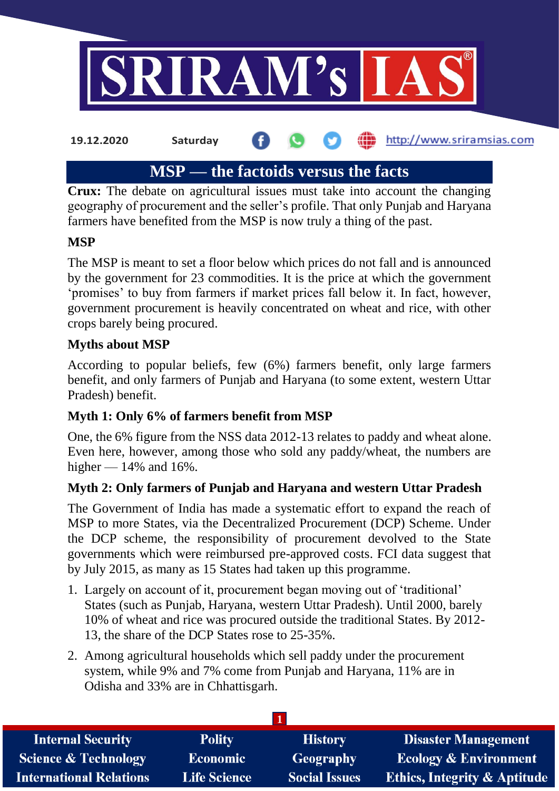

# **MSP — the factoids versus the facts**

**Crux:** The debate on agricultural issues must take into account the changing geography of procurement and the seller's profile. That only Punjab and Haryana farmers have benefited from the MSP is now truly a thing of the past.

#### **MSP**

The MSP is meant to set a floor below which prices do not fall and is announced by the government for 23 commodities. It is the price at which the government 'promises' to buy from farmers if market prices fall below it. In fact, however, government procurement is heavily concentrated on wheat and rice, with other crops barely being procured.

#### **Myths about MSP**

According to popular beliefs, few (6%) farmers benefit, only large farmers benefit, and only farmers of Punjab and Haryana (to some extent, western Uttar Pradesh) benefit.

# **Myth 1: Only 6% of farmers benefit from MSP**

One, the 6% figure from the NSS data 2012-13 relates to paddy and wheat alone. Even here, however, among those who sold any paddy/wheat, the numbers are higher  $-14\%$  and 16%.

# **Myth 2: Only farmers of Punjab and Haryana and western Uttar Pradesh**

The Government of India has made a systematic effort to expand the reach of MSP to more States, via the Decentralized Procurement (DCP) Scheme. Under the DCP scheme, the responsibility of procurement devolved to the State governments which were reimbursed pre-approved costs. FCI data suggest that by July 2015, as many as 15 States had taken up this programme.

- 1. Largely on account of it, procurement began moving out of 'traditional' States (such as Punjab, Haryana, western Uttar Pradesh). Until 2000, barely 10% of wheat and rice was procured outside the traditional States. By 2012- 13, the share of the DCP States rose to 25-35%.
- 2. Among agricultural households which sell paddy under the procurement system, while 9% and 7% come from Punjab and Haryana, 11% are in Odisha and 33% are in Chhattisgarh.

| <b>Internal Security</b>        | <b>Polity</b>       | <b>History</b>       | <b>Disaster Management</b>              |
|---------------------------------|---------------------|----------------------|-----------------------------------------|
| <b>Science &amp; Technology</b> | <b>Economic</b>     | Geography            | <b>Ecology &amp; Environment</b>        |
| <b>International Relations</b>  | <b>Life Science</b> | <b>Social Issues</b> | <b>Ethics, Integrity &amp; Aptitude</b> |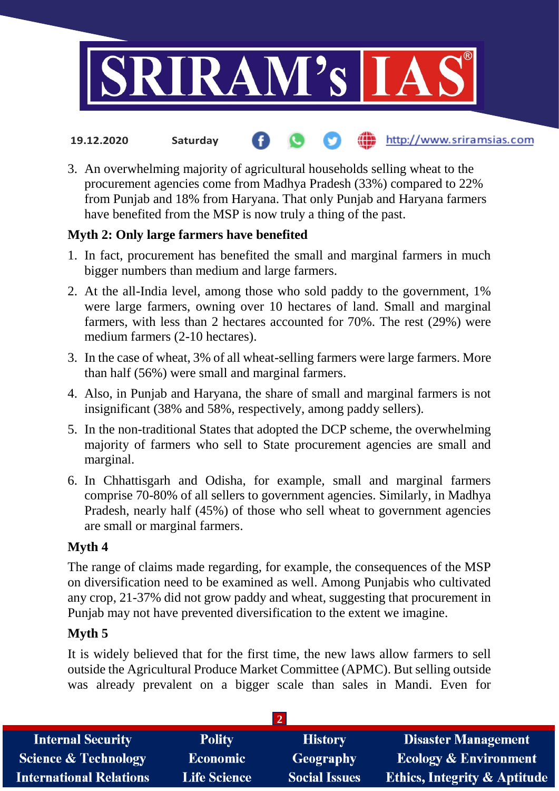

#### http://www.sriramsias.com **19.12.2020 Saturday**

3. An overwhelming majority of agricultural households selling wheat to the procurement agencies come from Madhya Pradesh (33%) compared to 22% from Punjab and 18% from Haryana. That only Punjab and Haryana farmers have benefited from the MSP is now truly a thing of the past.

# **Myth 2: Only large farmers have benefited**

- 1. In fact, procurement has benefited the small and marginal farmers in much bigger numbers than medium and large farmers.
- 2. At the all-India level, among those who sold paddy to the government, 1% were large farmers, owning over 10 hectares of land. Small and marginal farmers, with less than 2 hectares accounted for 70%. The rest (29%) were medium farmers (2-10 hectares).
- 3. In the case of wheat, 3% of all wheat-selling farmers were large farmers. More than half (56%) were small and marginal farmers.
- 4. Also, in Punjab and Haryana, the share of small and marginal farmers is not insignificant (38% and 58%, respectively, among paddy sellers).
- 5. In the non-traditional States that adopted the DCP scheme, the overwhelming majority of farmers who sell to State procurement agencies are small and marginal.
- 6. In Chhattisgarh and Odisha, for example, small and marginal farmers comprise 70-80% of all sellers to government agencies. Similarly, in Madhya Pradesh, nearly half (45%) of those who sell wheat to government agencies are small or marginal farmers.

# **Myth 4**

The range of claims made regarding, for example, the consequences of the MSP on diversification need to be examined as well. Among Punjabis who cultivated any crop, 21-37% did not grow paddy and wheat, suggesting that procurement in Punjab may not have prevented diversification to the extent we imagine.

# **Myth 5**

It is widely believed that for the first time, the new laws allow farmers to sell outside the Agricultural Produce Market Committee (APMC). But selling outside was already prevalent on a bigger scale than sales in Mandi. Even for

| <b>Internal Security</b>        | <b>Polity</b>       | <b>History</b>       | <b>Disaster Management</b>              |
|---------------------------------|---------------------|----------------------|-----------------------------------------|
| <b>Science &amp; Technology</b> | <b>Economic</b>     | Geography            | <b>Ecology &amp; Environment</b>        |
| <b>International Relations</b>  | <b>Life Science</b> | <b>Social Issues</b> | <b>Ethics, Integrity &amp; Aptitude</b> |